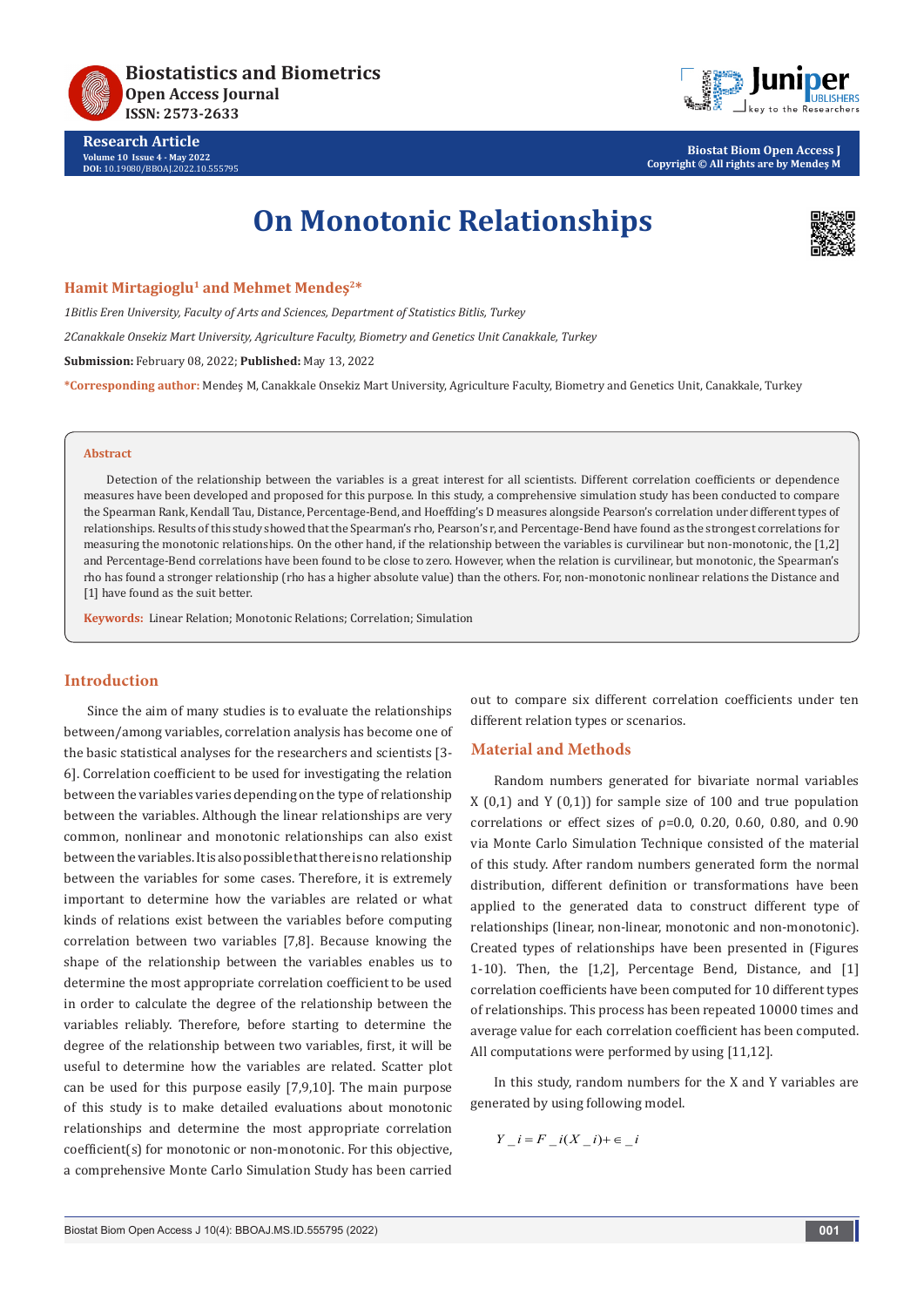

**Research Article Volume 10 Issue 4 - May 2022 DOI:** [10.19080/BBOAJ.2022.10.55579](http://dx.doi.org/10.19080/BBOAJ.2022.10.555795)5



**Biostat Biom Open Access J Copyright © All rights are by Mendeş M**

# **On Monotonic Relationships**



#### **Hamit Mirtagioglu1 and Mehmet Mendeş2\***

*1Bitlis Eren University, Faculty of Arts and Sciences, Department of Statistics Bitlis, Turkey 2Canakkale Onsekiz Mart University, Agriculture Faculty, Biometry and Genetics Unit Canakkale, Turkey* **Submission:** February 08, 2022; **Published:** May 13, 2022 **\*Corresponding author:** Mendeş M, Canakkale Onsekiz Mart University, Agriculture Faculty, Biometry and Genetics Unit, Canakkale, Turkey

#### **Abstract**

Detection of the relationship between the variables is a great interest for all scientists. Different correlation coefficients or dependence measures have been developed and proposed for this purpose. In this study, a comprehensive simulation study has been conducted to compare the Spearman Rank, Kendall Tau, Distance, Percentage-Bend, and Hoeffding's D measures alongside Pearson's correlation under different types of relationships. Results of this study showed that the Spearman's rho, Pearson's r, and Percentage-Bend have found as the strongest correlations for measuring the monotonic relationships. On the other hand, if the relationship between the variables is curvilinear but non-monotonic, the [1,2] and Percentage-Bend correlations have been found to be close to zero. However, when the relation is curvilinear, but monotonic, the Spearman's rho has found a stronger relationship (rho has a higher absolute value) than the others. For, non-monotonic nonlinear relations the Distance and [1] have found as the suit better.

**Keywords:** Linear Relation; Monotonic Relations; Correlation; Simulation

# **Introduction**

Since the aim of many studies is to evaluate the relationships between/among variables, correlation analysis has become one of the basic statistical analyses for the researchers and scientists [3- 6]. Correlation coefficient to be used for investigating the relation between the variables varies depending on the type of relationship between the variables. Although the linear relationships are very common, nonlinear and monotonic relationships can also exist between the variables. It is also possible that there is no relationship between the variables for some cases. Therefore, it is extremely important to determine how the variables are related or what kinds of relations exist between the variables before computing correlation between two variables [7,8]. Because knowing the shape of the relationship between the variables enables us to determine the most appropriate correlation coefficient to be used in order to calculate the degree of the relationship between the variables reliably. Therefore, before starting to determine the degree of the relationship between two variables, first, it will be useful to determine how the variables are related. Scatter plot can be used for this purpose easily [7,9,10]. The main purpose of this study is to make detailed evaluations about monotonic relationships and determine the most appropriate correlation coefficient(s) for monotonic or non-monotonic. For this objective, a comprehensive Monte Carlo Simulation Study has been carried

out to compare six different correlation coefficients under ten different relation types or scenarios.

#### **Material and Methods**

Random numbers generated for bivariate normal variables  $X(0,1)$  and Y  $(0,1)$  for sample size of 100 and true population correlations or effect sizes of  $p=0.0$ , 0.20, 0.60, 0.80, and 0.90 via Monte Carlo Simulation Technique consisted of the material of this study. After random numbers generated form the normal distribution, different definition or transformations have been applied to the generated data to construct different type of relationships (linear, non-linear, monotonic and non-monotonic). Created types of relationships have been presented in (Figures 1-10). Then, the [1,2], Percentage Bend, Distance, and [1] correlation coefficients have been computed for 10 different types of relationships. This process has been repeated 10000 times and average value for each correlation coefficient has been computed. All computations were performed by using [11,12].

In this study, random numbers for the X and Y variables are generated by using following model.

$$
Y_i = F_i(X_i - i) + \epsilon_i
$$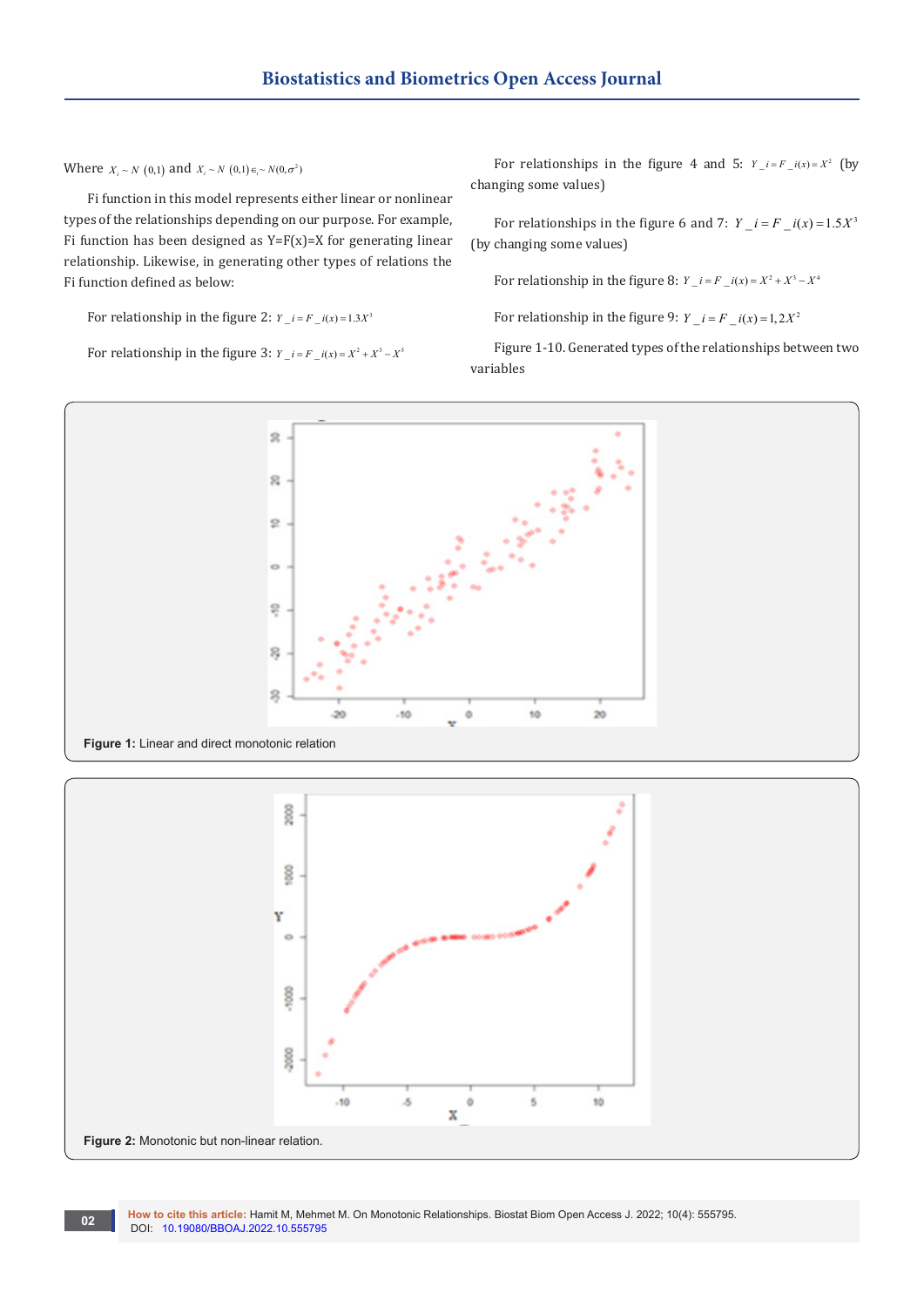Where  $X_i \sim N(0,1)$  and  $X_i \sim N(0,1) \in N(0, \sigma^2)$ 

Fi function in this model represents either linear or nonlinear types of the relationships depending on our purpose. For example, Fi function has been designed as  $Y=F(x)=X$  for generating linear relationship. Likewise, in generating other types of relations the Fi function defined as below:

For relationship in the figure 2:  $Y_i = F_i(x) = 1.3X^3$ 

For relationship in the figure 3:  $Y_i = F_i(x) = X^2 + X^3 - X^5$ 

For relationships in the figure 4 and 5:  $Y_i = F_i(x) = X^2$  (by changing some values)

For relationships in the figure 6 and 7:  $Y_i = F_i(x) = 1.5X^3$ (by changing some values)

For relationship in the figure 8:  $Y_i = F_i(x) = X^2 + X^3 - X^4$ 

For relationship in the figure 9:  $Y_i = F_i(x) = 1,2X^2$ 

Figure 1-10. Generated types of the relationships between two variables



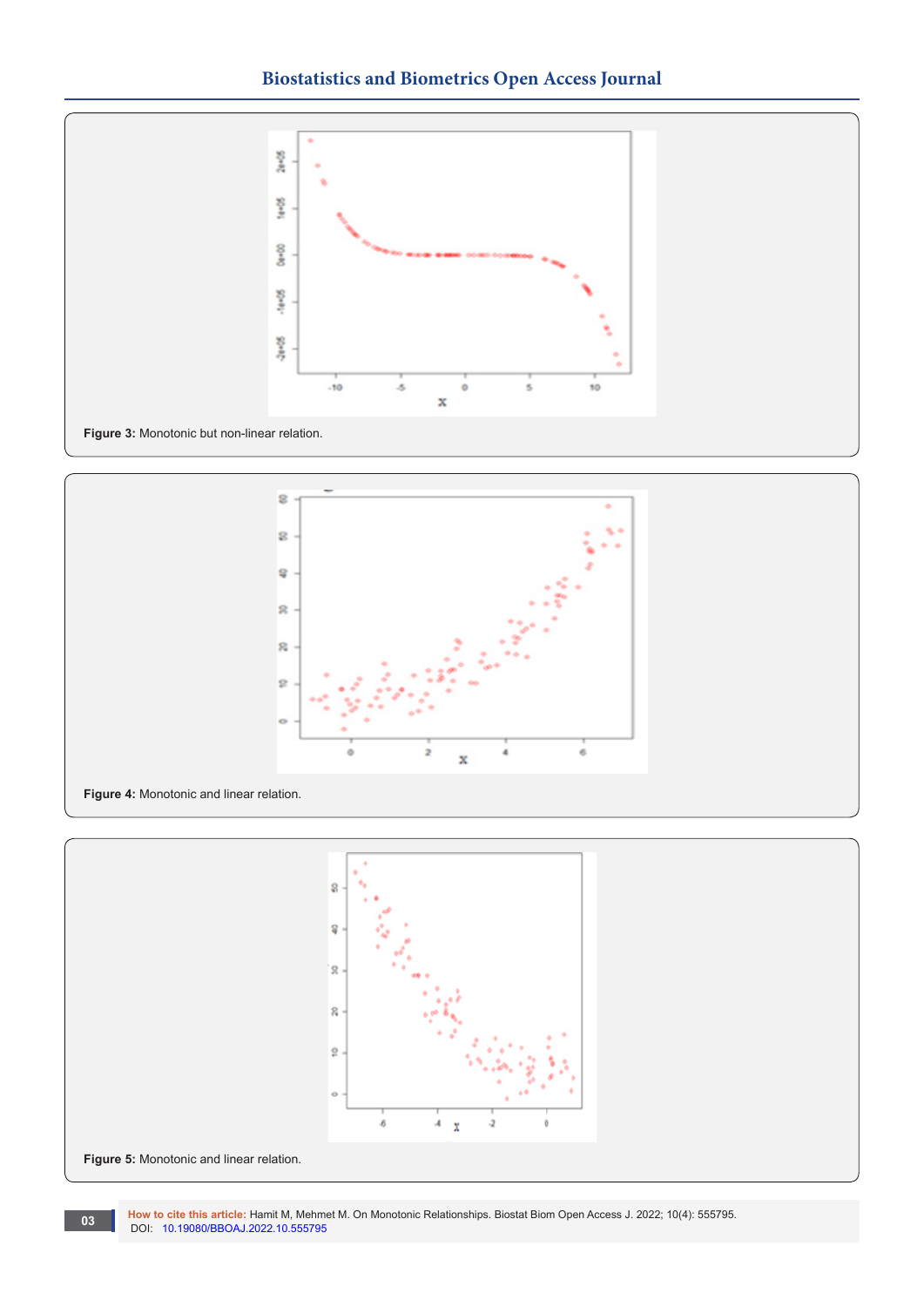







**How to cite this article:** Hamit M, Mehmet M. On Monotonic Relationships. Biostat Biom Open Access J. 2022; 10(4): 555795. **DOI:** [10.19080/BBOAJ.2022.10.55579](http://dx.doi.org/10.19080/BBOAJ.2022.10.555795)5<br>DOI: 10.19080/BBOAJ.2022.10.555795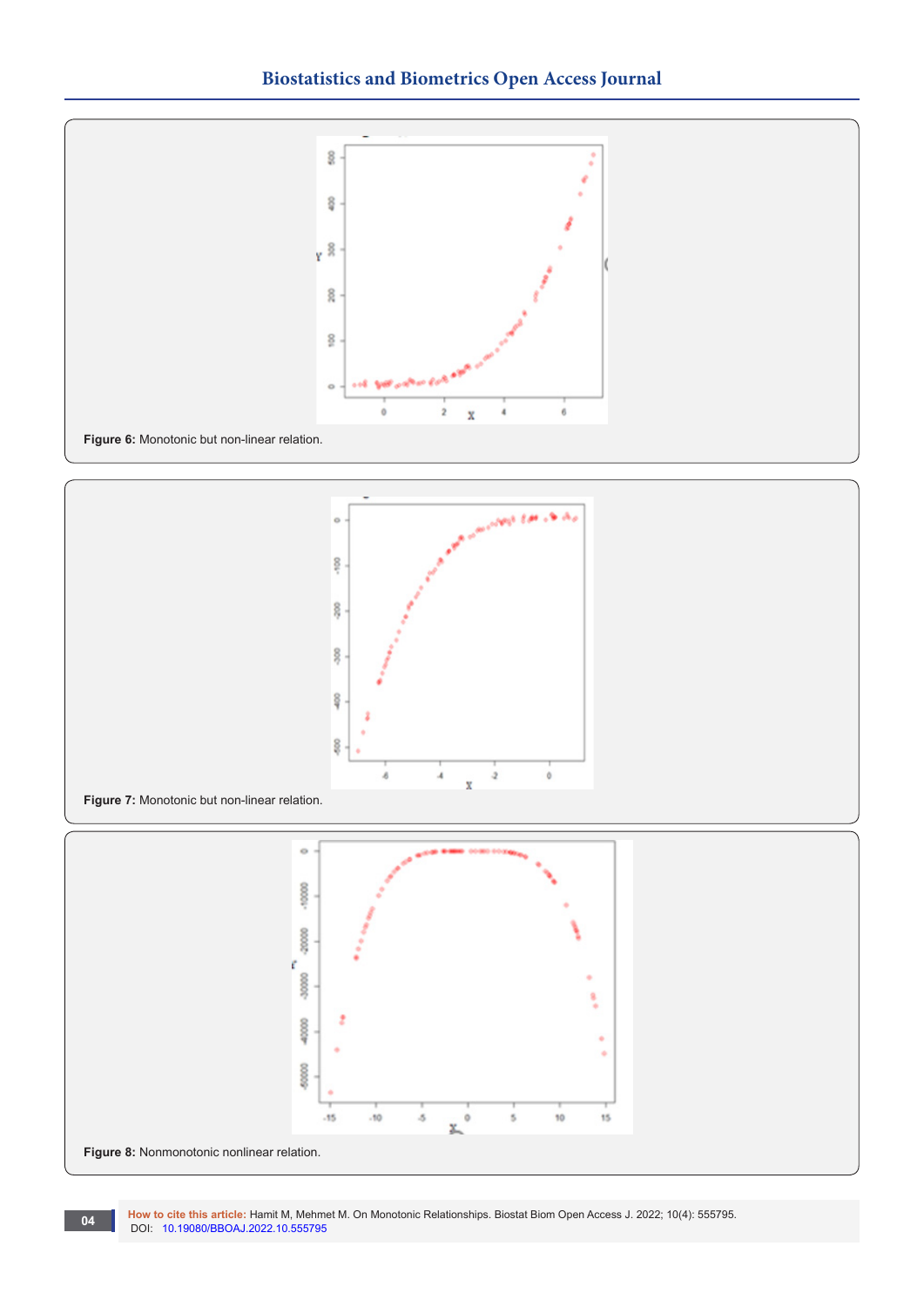







**How to cite this article:** Hamit M, Mehmet M. On Monotonic Relationships. Biostat Biom Open Access J. 2022; 10(4): 555795. **DOI:** [10.19080/BBOAJ.2022.10.55579](http://dx.doi.org/10.19080/BBOAJ.2022.10.555795)5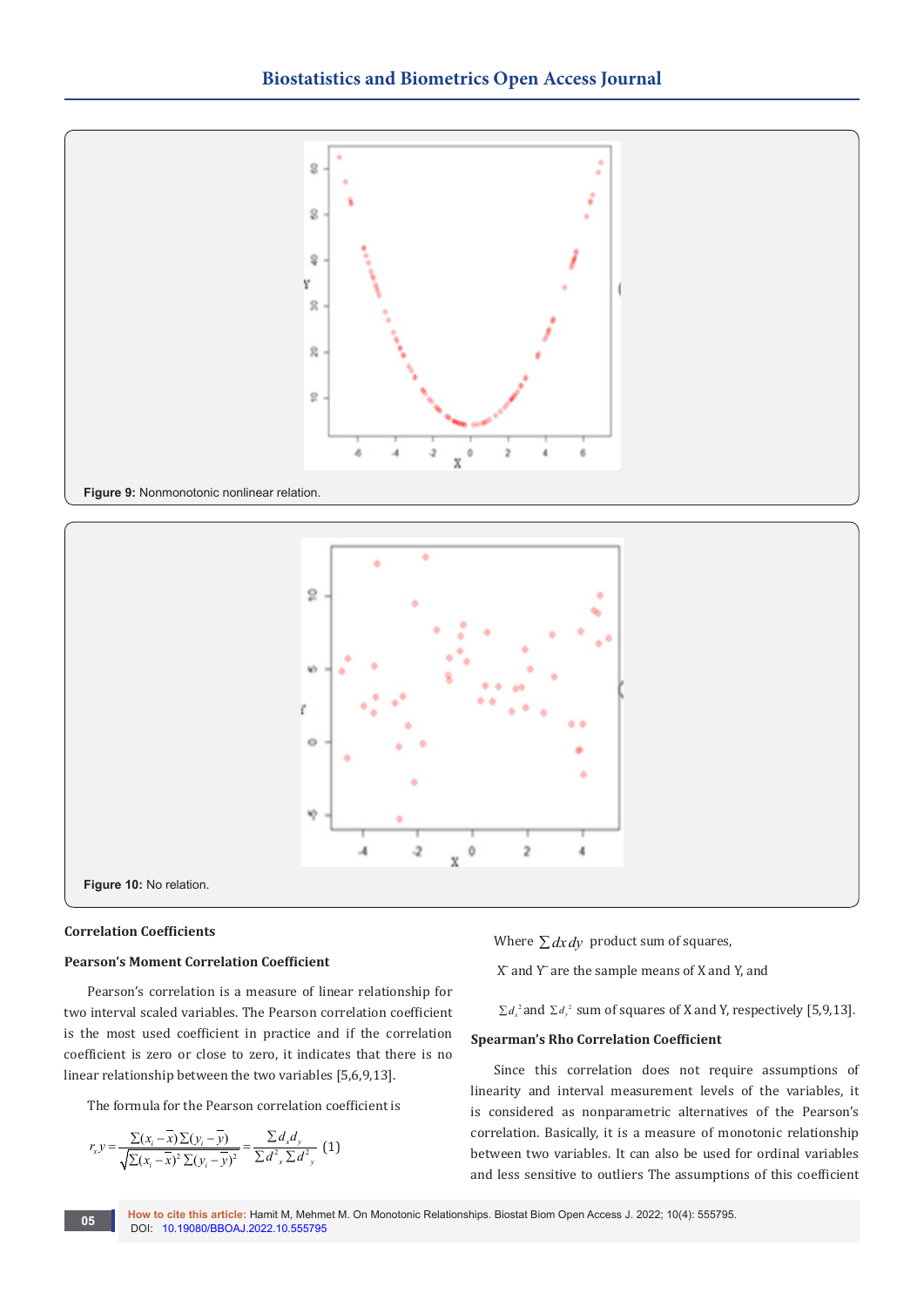



#### **Correlation Coefficients**

**Figure 10:** No relation.

#### **Pearson's Moment Correlation Coefficient**

Pearson's correlation is a measure of linear relationship for two interval scaled variables. The Pearson correlation coefficient is the most used coefficient in practice and if the correlation coefficient is zero or close to zero, it indicates that there is no linear relationship between the two variables [5,6,9,13].

The formula for the Pearson correlation coefficient is

$$
r_{x}y = \frac{\sum(x_{i} - \overline{x})\sum(y_{i} - \overline{y})}{\sqrt{\sum(x_{i} - \overline{x})^{2}\sum(y_{i} - \overline{y})^{2}}} = \frac{\sum d_{x}d_{y}}{\sum d_{x}^{2}\sum d_{y}^{2}} (1)
$$

Where  $\sum dx dy$  product sum of squares,

 $X$  and  $Y$  are the sample means of  $X$  and  $Y$ , and

 $\sum d_x^2$  and  $\sum d_y^2$  sum of squares of X and Y, respectively [5,9,13].

#### **Spearman's Rho Correlation Coefficient**

Since this correlation does not require assumptions of linearity and interval measurement levels of the variables, it is considered as nonparametric alternatives of the Pearson's correlation. Basically, it is a measure of monotonic relationship between two variables. It can also be used for ordinal variables and less sensitive to outliers The assumptions of this coefficient

**How to cite this article:** Hamit M, Mehmet M. On Monotonic Relationships. Biostat Biom Open Access J. 2022; 10(4): 555795. **05 box to cite this article: Hamilt M, Menni**on **DOI:** [10.19080/BBOAJ.2022.10.55579](http://dx.doi.org/10.19080/BBOAJ.2022.10.555795)5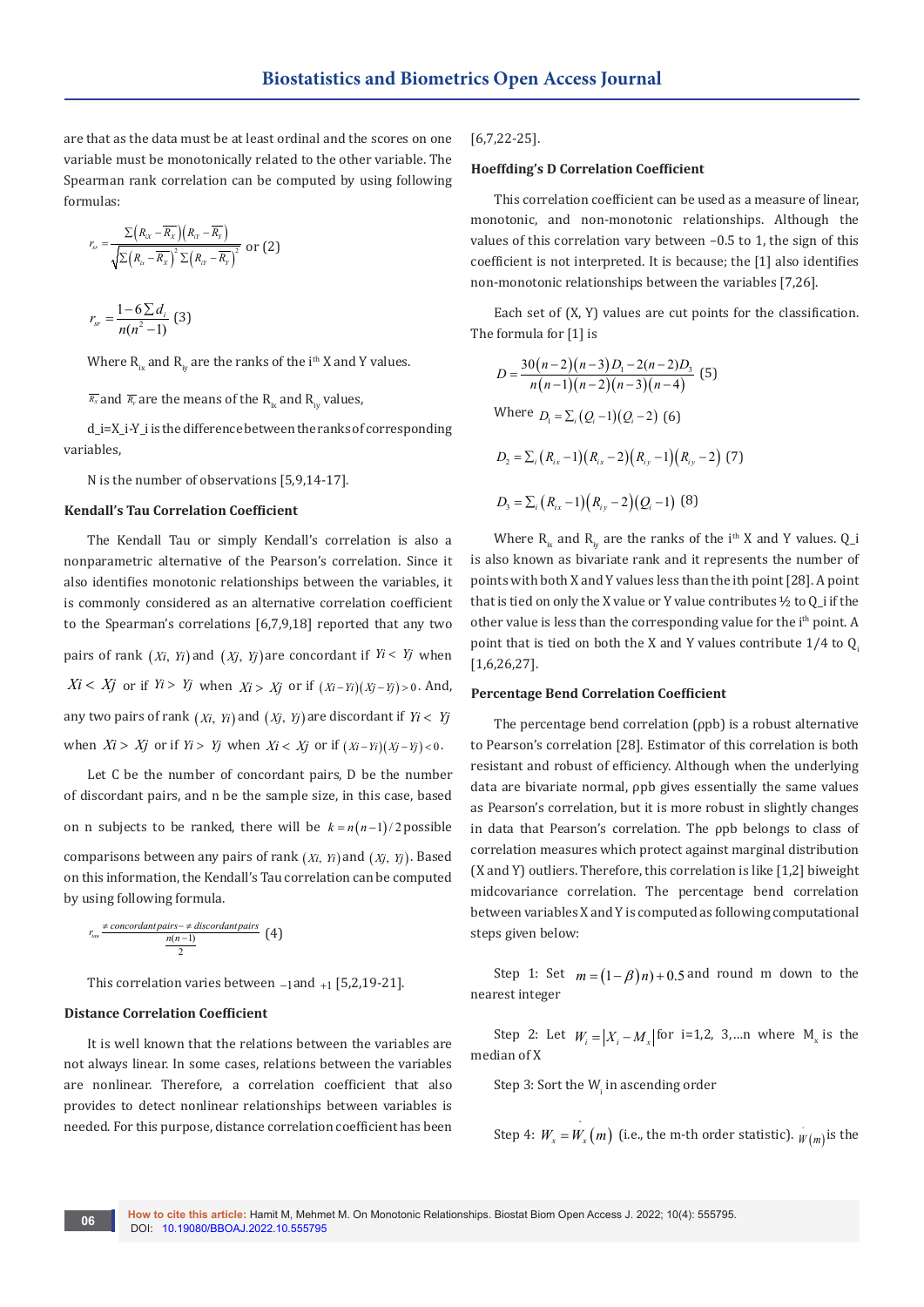are that as the data must be at least ordinal and the scores on one variable must be monotonically related to the other variable. The Spearman rank correlation can be computed by using following formulas:

$$
r_{sr} = \frac{\sum (R_{ix} - \overline{R_x})(R_{ir} - \overline{R_y})}{\sqrt{\sum (R_{ix} - \overline{R_x})^2 \sum (R_{ir} - \overline{R_y})^2}} \text{ or } (2)
$$

$$
r_{sr} = \frac{1 - 6 \sum d_i}{n(n^2 - 1)} \tag{3}
$$

Where  $R_{ix}$  and  $R_{iv}$  are the ranks of the i<sup>th</sup> X and Y values.

 $\overline{R_x}$  and  $\overline{R_y}$  are the means of the R<sub>iv</sub> and R<sub>iv</sub> values,

d\_i=X\_i-Y\_i is the difference between the ranks of corresponding variables,

N is the number of observations [5,9,14-17].

#### **Kendall's Tau Correlation Coefficient**

The Kendall Tau or simply Kendall's correlation is also a nonparametric alternative of the Pearson's correlation. Since it also identifies monotonic relationships between the variables, it is commonly considered as an alternative correlation coefficient to the Spearman's correlations [6,7,9,18] reported that any two pairs of rank  $(X_i, Y_i)$  and  $(X_j, Y_j)$  are concordant if  $Y_i < Y_j$  when  $Xi < Xj$  or if  $Yi > Yj$  when  $Xi > Xj$  or if  $(Xi-Yi)(Xj-Yj) > 0$ . And, any two pairs of rank  $(X_i, Y_i)$  and  $(X_j, Y_j)$  are discordant if  $Y_i < Y_j$ when  $Xi > Xj$  or if  $Yi > Yj$  when  $Xi < Xj$  or if  $(Xi - Yi)(Xj - Yj) < 0$ .

Let C be the number of concordant pairs, D be the number of discordant pairs, and n be the sample size, in this case, based on n subjects to be ranked, there will be  $k = n(n-1)/2$  possible comparisons between any pairs of rank (*Xi*, *Yi*) and (*Xj*, *Yj*). Based on this information, the Kendall's Tau correlation can be computed by using following formula.

$$
r_{\text{raw}} \neq \text{concordant pairs} -\neq \text{discordant pairs} \quad \text{(4)}
$$

This correlation varies between −1and +1 [5,2,19-21].

#### **Distance Correlation Coefficient**

It is well known that the relations between the variables are not always linear. In some cases, relations between the variables are nonlinear. Therefore, a correlation coefficient that also provides to detect nonlinear relationships between variables is needed. For this purpose, distance correlation coefficient has been

#### [6,7,22-25].

#### **Hoeffding's D Correlation Coefficient**

This correlation coefficient can be used as a measure of linear, monotonic, and non-monotonic relationships. Although the values of this correlation vary between –0.5 to 1, the sign of this coefficient is not interpreted. It is because; the [1] also identifies non-monotonic relationships between the variables [7,26].

Each set of (X, Y) values are cut points for the classification. The formula for [1] is

$$
D = \frac{30(n-2)(n-3)D_1 - 2(n-2)D_3}{n(n-1)(n-2)(n-3)(n-4)}
$$
(5)  
Where  $D_1 = \sum_i (Q_i - 1)(Q_i - 2)$  (6)  

$$
D_2 = \sum_i (R_{ix} - 1)(R_{ix} - 2)(R_{iy} - 1)(R_{iy} - 2)
$$
(7)  

$$
D_3 = \sum_i (R_{ix} - 1)(R_{iy} - 2)(Q_i - 1)
$$
(8)

Where  $R_{i_x}$  and  $R_{i_y}$  are the ranks of the i<sup>th</sup> X and Y values. Q<sub>1</sub> is also known as bivariate rank and it represents the number of points with both X and Y values less than the ith point [28]. A point that is tied on only the X value or Y value contributes ½ to Q\_i if the other value is less than the corresponding value for the i<sup>th</sup> point. A point that is tied on both the X and Y values contribute  $1/4$  to Q. [1,6,26,27].

#### **Percentage Bend Correlation Coefficient**

The percentage bend correlation (ρpb) is a robust alternative to Pearson's correlation [28]. Estimator of this correlation is both resistant and robust of efficiency. Although when the underlying data are bivariate normal, ρpb gives essentially the same values as Pearson's correlation, but it is more robust in slightly changes in data that Pearson's correlation. The ρpb belongs to class of correlation measures which protect against marginal distribution (X and Y) outliers. Therefore, this correlation is like [1,2] biweight midcovariance correlation. The percentage bend correlation between variables X and Y is computed as following computational steps given below:

Step 1: Set  $m = (1 - \beta)n + 0.5$  and round m down to the nearest integer

Step 2: Let  $W_i = |X_i - M_x|$  for i=1,2, 3,…n where  $M_x$  is the median of X

Step 3: Sort the  $W_i$  in ascending order

Step 4: 
$$
W_x = W_x(m)
$$
 (i.e., the m-th order statistic).  $W(w)$  is the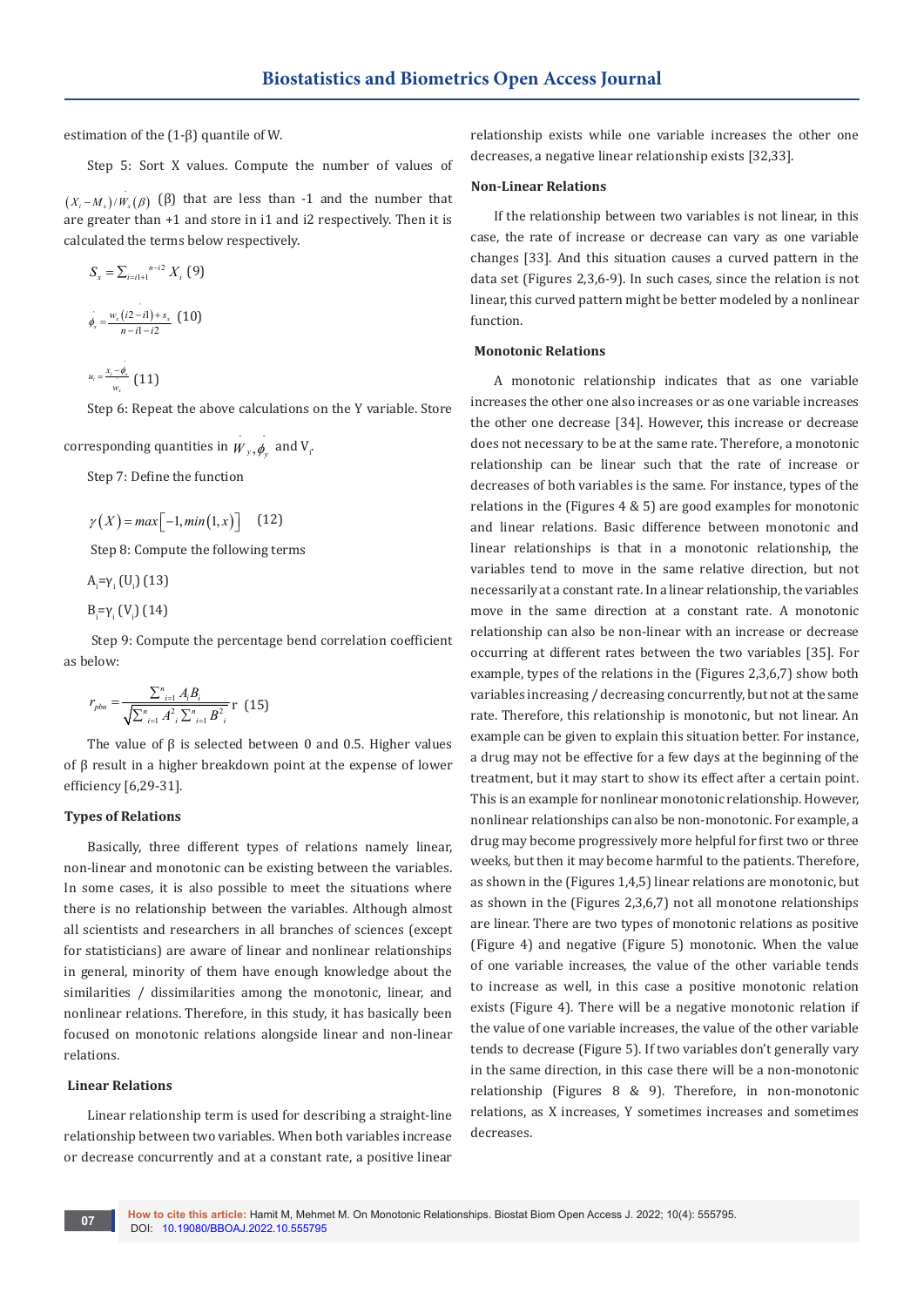estimation of the (1-β) quantile of W.

Step 5: Sort X values. Compute the number of values of

 $(X_i - M_x)/W_x(\beta)$  ( $\beta$ ) that are less than -1 and the number that are greater than +1 and store in i1 and i2 respectively. Then it is calculated the terms below respectively.

$$
S_{x} = \sum_{i=i1+1}^{n-i2} X_{i} \text{ (9)}
$$
\n
$$
\dot{\phi}_{x} = \frac{w_{x}(i2-i1) + s_{x}}{n-i1-i2} \text{ (10)}
$$
\n
$$
u_{i} = \frac{x_{i} - \dot{\phi}_{x}}{w_{x}} \text{ (11)}
$$

2

Step 6: Repeat the above calculations on the Y variable. Store

corresponding quantities in  $w_{y}$ ,  $\phi_{y}$  and V<sub>i</sub>.

Step 7: Define the function

$$
\gamma(X) = \max[-1, \min(1, x)] \quad (12)
$$

Step 8: Compute the following terms

 $A_i = γ_i$  (U<sub>i</sub>) (13)

 $B_i = γ_i (V_i) (14)$ 

 Step 9: Compute the percentage bend correlation coefficient as below:

$$
r_{\text{pbn}} = \frac{\sum_{i=1}^{n} A_{i} B_{i}}{\sqrt{\sum_{i=1}^{n} A_{i}^{2} \sum_{i=1}^{n} B_{i}^{2}}}
$$
r (15)

The value of  $\beta$  is selected between 0 and 0.5. Higher values of β result in a higher breakdown point at the expense of lower efficiency [6,29-31].

#### **Types of Relations**

Basically, three different types of relations namely linear, non-linear and monotonic can be existing between the variables. In some cases, it is also possible to meet the situations where there is no relationship between the variables. Although almost all scientists and researchers in all branches of sciences (except for statisticians) are aware of linear and nonlinear relationships in general, minority of them have enough knowledge about the similarities / dissimilarities among the monotonic, linear, and nonlinear relations. Therefore, in this study, it has basically been focused on monotonic relations alongside linear and non-linear relations.

### **Linear Relations**

Linear relationship term is used for describing a straight-line relationship between two variables. When both variables increase or decrease concurrently and at a constant rate, a positive linear

relationship exists while one variable increases the other one decreases, a negative linear relationship exists [32,33].

#### **Non-Linear Relations**

If the relationship between two variables is not linear, in this case, the rate of increase or decrease can vary as one variable changes [33]. And this situation causes a curved pattern in the data set (Figures 2,3,6-9). In such cases, since the relation is not linear, this curved pattern might be better modeled by a nonlinear function.

#### **Monotonic Relations**

A monotonic relationship indicates that as one variable increases the other one also increases or as one variable increases the other one decrease [34]. However, this increase or decrease does not necessary to be at the same rate. Therefore, a monotonic relationship can be linear such that the rate of increase or decreases of both variables is the same. For instance, types of the relations in the (Figures 4 & 5) are good examples for monotonic and linear relations. Basic difference between monotonic and linear relationships is that in a monotonic relationship, the variables tend to move in the same relative direction, but not necessarily at a constant rate. In a linear relationship, the variables move in the same direction at a constant rate. A monotonic relationship can also be non-linear with an increase or decrease occurring at different rates between the two variables [35]. For example, types of the relations in the (Figures 2,3,6,7) show both variables increasing / decreasing concurrently, but not at the same rate. Therefore, this relationship is monotonic, but not linear. An example can be given to explain this situation better. For instance, a drug may not be effective for a few days at the beginning of the treatment, but it may start to show its effect after a certain point. This is an example for nonlinear monotonic relationship. However, nonlinear relationships can also be non-monotonic. For example, a drug may become progressively more helpful for first two or three weeks, but then it may become harmful to the patients. Therefore, as shown in the (Figures 1,4,5) linear relations are monotonic, but as shown in the (Figures 2,3,6,7) not all monotone relationships are linear. There are two types of monotonic relations as positive (Figure 4) and negative (Figure 5) monotonic. When the value of one variable increases, the value of the other variable tends to increase as well, in this case a positive monotonic relation exists (Figure 4). There will be a negative monotonic relation if the value of one variable increases, the value of the other variable tends to decrease (Figure 5). If two variables don't generally vary in the same direction, in this case there will be a non-monotonic relationship (Figures 8 & 9). Therefore, in non-monotonic relations, as X increases, Y sometimes increases and sometimes decreases.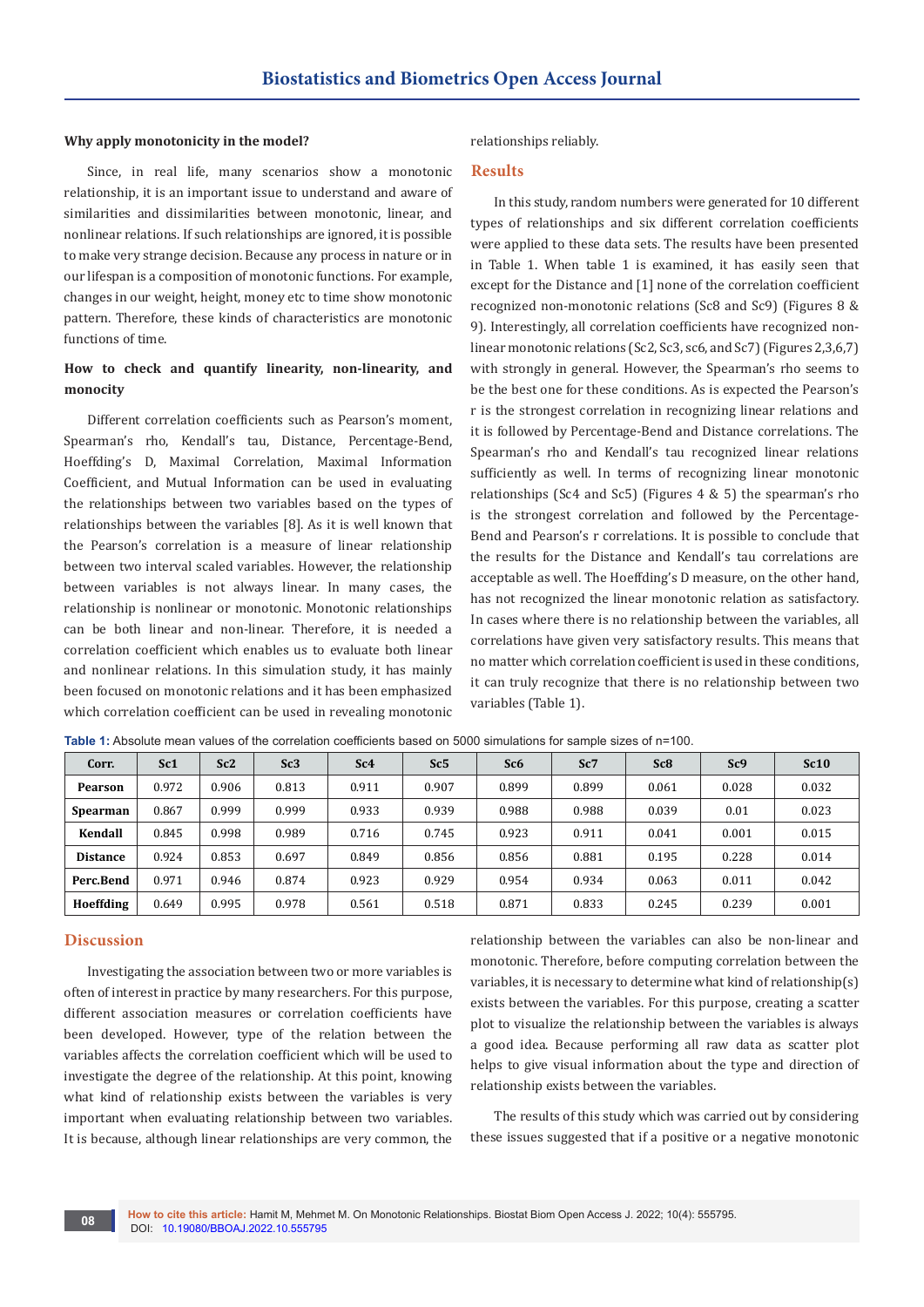#### **Why apply monotonicity in the model?**

Since, in real life, many scenarios show a monotonic relationship, it is an important issue to understand and aware of similarities and dissimilarities between monotonic, linear, and nonlinear relations. If such relationships are ignored, it is possible to make very strange decision. Because any process in nature or in our lifespan is a composition of monotonic functions. For example, changes in our weight, height, money etc to time show monotonic pattern. Therefore, these kinds of characteristics are monotonic functions of time.

# **How to check and quantify linearity, non-linearity, and monocity**

Different correlation coefficients such as Pearson's moment, Spearman's rho, Kendall's tau, Distance, Percentage-Bend, Hoeffding's D, Maximal Correlation, Maximal Information Coefficient, and Mutual Information can be used in evaluating the relationships between two variables based on the types of relationships between the variables [8]. As it is well known that the Pearson's correlation is a measure of linear relationship between two interval scaled variables. However, the relationship between variables is not always linear. In many cases, the relationship is nonlinear or monotonic. Monotonic relationships can be both linear and non-linear. Therefore, it is needed a correlation coefficient which enables us to evaluate both linear and nonlinear relations. In this simulation study, it has mainly been focused on monotonic relations and it has been emphasized which correlation coefficient can be used in revealing monotonic

#### relationships reliably.

#### **Results**

In this study, random numbers were generated for 10 different types of relationships and six different correlation coefficients were applied to these data sets. The results have been presented in Table 1. When table 1 is examined, it has easily seen that except for the Distance and [1] none of the correlation coefficient recognized non-monotonic relations (Sc8 and Sc9) (Figures 8 & 9). Interestingly, all correlation coefficients have recognized nonlinear monotonic relations (Sc2, Sc3, sc6, and Sc7) (Figures 2,3,6,7) with strongly in general. However, the Spearman's rho seems to be the best one for these conditions. As is expected the Pearson's r is the strongest correlation in recognizing linear relations and it is followed by Percentage-Bend and Distance correlations. The Spearman's rho and Kendall's tau recognized linear relations sufficiently as well. In terms of recognizing linear monotonic relationships (Sc4 and Sc5) (Figures 4 & 5) the spearman's rho is the strongest correlation and followed by the Percentage-Bend and Pearson's r correlations. It is possible to conclude that the results for the Distance and Kendall's tau correlations are acceptable as well. The Hoeffding's D measure, on the other hand, has not recognized the linear monotonic relation as satisfactory. In cases where there is no relationship between the variables, all correlations have given very satisfactory results. This means that no matter which correlation coefficient is used in these conditions, it can truly recognize that there is no relationship between two variables (Table 1).

| Corr.           | Sc <sub>1</sub> | Sc2   | Sc3   | Sc <sub>4</sub> | Sc5   | Sc <sub>6</sub> | Sc7   | Sc <sub>8</sub> | Sc9   | Sc10  |
|-----------------|-----------------|-------|-------|-----------------|-------|-----------------|-------|-----------------|-------|-------|
| <b>Pearson</b>  | 0.972           | 0.906 | 0.813 | 0.911           | 0.907 | 0.899           | 0.899 | 0.061           | 0.028 | 0.032 |
| <b>Spearman</b> | 0.867           | 0.999 | 0.999 | 0.933           | 0.939 | 0.988           | 0.988 | 0.039           | 0.01  | 0.023 |
| Kendall         | 0.845           | 0.998 | 0.989 | 0.716           | 0.745 | 0.923           | 0.911 | 0.041           | 0.001 | 0.015 |
| <b>Distance</b> | 0.924           | 0.853 | 0.697 | 0.849           | 0.856 | 0.856           | 0.881 | 0.195           | 0.228 | 0.014 |
| Perc.Bend       | 0.971           | 0.946 | 0.874 | 0.923           | 0.929 | 0.954           | 0.934 | 0.063           | 0.011 | 0.042 |
| Hoeffding       | 0.649           | 0.995 | 0.978 | 0.561           | 0.518 | 0.871           | 0.833 | 0.245           | 0.239 | 0.001 |

**Table 1:** Absolute mean values of the correlation coefficients based on 5000 simulations for sample sizes of n=100.

# **Discussion**

Investigating the association between two or more variables is often of interest in practice by many researchers. For this purpose, different association measures or correlation coefficients have been developed. However, type of the relation between the variables affects the correlation coefficient which will be used to investigate the degree of the relationship. At this point, knowing what kind of relationship exists between the variables is very important when evaluating relationship between two variables. It is because, although linear relationships are very common, the

relationship between the variables can also be non-linear and monotonic. Therefore, before computing correlation between the variables, it is necessary to determine what kind of relationship(s) exists between the variables. For this purpose, creating a scatter plot to visualize the relationship between the variables is always a good idea. Because performing all raw data as scatter plot helps to give visual information about the type and direction of relationship exists between the variables.

The results of this study which was carried out by considering these issues suggested that if a positive or a negative monotonic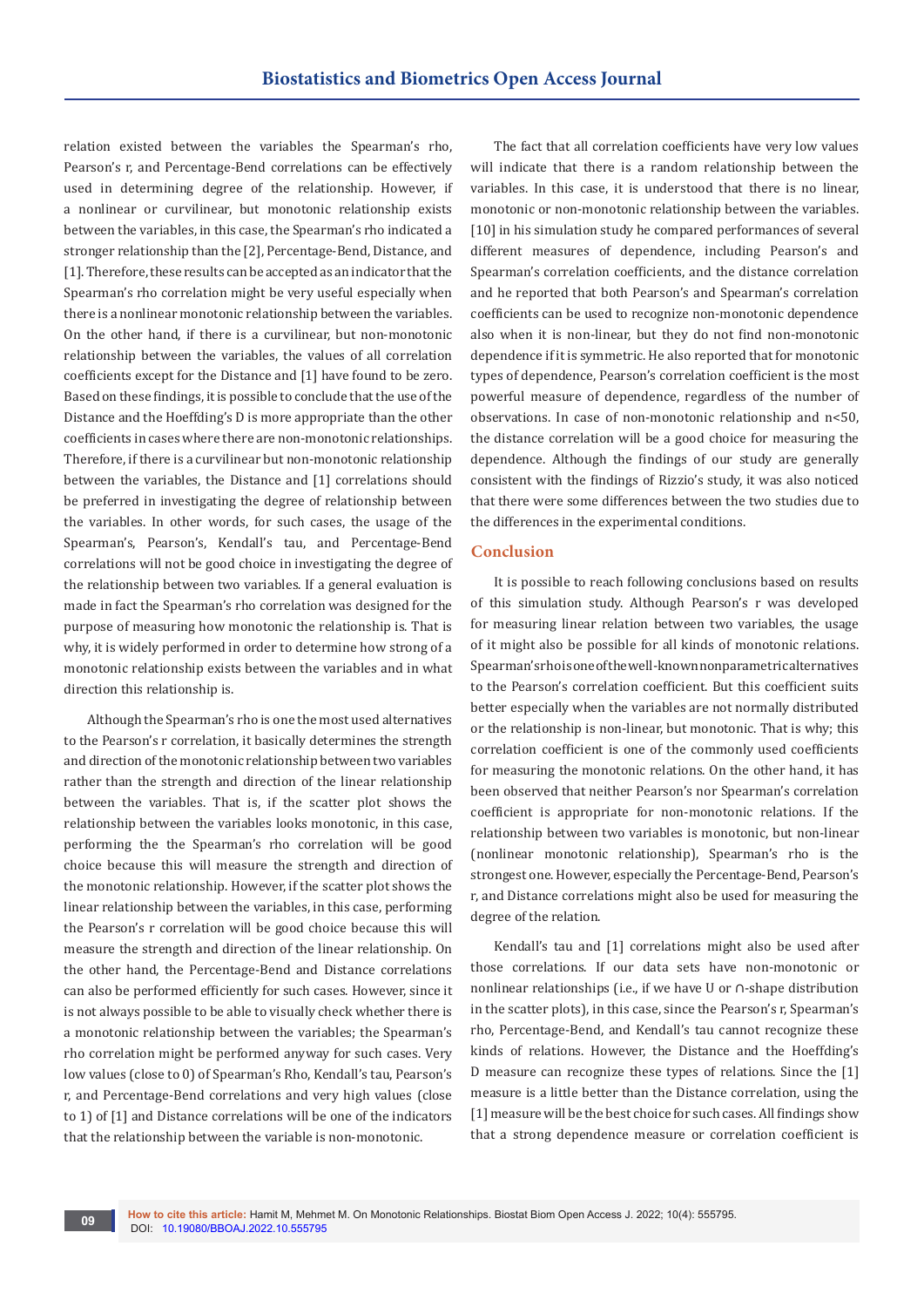relation existed between the variables the Spearman's rho, Pearson's r, and Percentage-Bend correlations can be effectively used in determining degree of the relationship. However, if a nonlinear or curvilinear, but monotonic relationship exists between the variables, in this case, the Spearman's rho indicated a stronger relationship than the [2], Percentage-Bend, Distance, and [1]. Therefore, these results can be accepted as an indicator that the Spearman's rho correlation might be very useful especially when there is a nonlinear monotonic relationship between the variables. On the other hand, if there is a curvilinear, but non-monotonic relationship between the variables, the values of all correlation coefficients except for the Distance and [1] have found to be zero. Based on these findings, it is possible to conclude that the use of the Distance and the Hoeffding's D is more appropriate than the other coefficients in cases where there are non-monotonic relationships. Therefore, if there is a curvilinear but non-monotonic relationship between the variables, the Distance and [1] correlations should be preferred in investigating the degree of relationship between the variables. In other words, for such cases, the usage of the Spearman's, Pearson's, Kendall's tau, and Percentage-Bend correlations will not be good choice in investigating the degree of the relationship between two variables. If a general evaluation is made in fact the Spearman's rho correlation was designed for the purpose of measuring how monotonic the relationship is. That is why, it is widely performed in order to determine how strong of a monotonic relationship exists between the variables and in what direction this relationship is.

Although the Spearman's rho is one the most used alternatives to the Pearson's r correlation, it basically determines the strength and direction of the monotonic relationship between two variables rather than the strength and direction of the linear relationship between the variables. That is, if the scatter plot shows the relationship between the variables looks monotonic, in this case, performing the the Spearman's rho correlation will be good choice because this will measure the strength and direction of the monotonic relationship. However, if the scatter plot shows the linear relationship between the variables, in this case, performing the Pearson's r correlation will be good choice because this will measure the strength and direction of the linear relationship. On the other hand, the Percentage-Bend and Distance correlations can also be performed efficiently for such cases. However, since it is not always possible to be able to visually check whether there is a monotonic relationship between the variables; the Spearman's rho correlation might be performed anyway for such cases. Very low values (close to 0) of Spearman's Rho, Kendall's tau, Pearson's r, and Percentage-Bend correlations and very high values (close to 1) of [1] and Distance correlations will be one of the indicators that the relationship between the variable is non-monotonic.

The fact that all correlation coefficients have very low values will indicate that there is a random relationship between the variables. In this case, it is understood that there is no linear, monotonic or non-monotonic relationship between the variables. [10] in his simulation study he compared performances of several different measures of dependence, including Pearson's and Spearman's correlation coefficients, and the distance correlation and he reported that both Pearson's and Spearman's correlation coefficients can be used to recognize non-monotonic dependence also when it is non-linear, but they do not find non-monotonic dependence if it is symmetric. He also reported that for monotonic types of dependence, Pearson's correlation coefficient is the most powerful measure of dependence, regardless of the number of observations. In case of non-monotonic relationship and n<50, the distance correlation will be a good choice for measuring the dependence. Although the findings of our study are generally consistent with the findings of Rizzio's study, it was also noticed that there were some differences between the two studies due to the differences in the experimental conditions.

### **Conclusion**

It is possible to reach following conclusions based on results of this simulation study. Although Pearson's r was developed for measuring linear relation between two variables, the usage of it might also be possible for all kinds of monotonic relations. Spearman's rho is one of the well-known nonparametric alternatives to the Pearson's correlation coefficient. But this coefficient suits better especially when the variables are not normally distributed or the relationship is non-linear, but monotonic. That is why; this correlation coefficient is one of the commonly used coefficients for measuring the monotonic relations. On the other hand, it has been observed that neither Pearson's nor Spearman's correlation coefficient is appropriate for non-monotonic relations. If the relationship between two variables is monotonic, but non-linear (nonlinear monotonic relationship), Spearman's rho is the strongest one. However, especially the Percentage-Bend, Pearson's r, and Distance correlations might also be used for measuring the degree of the relation.

Kendall's tau and [1] correlations might also be used after those correlations. If our data sets have non-monotonic or nonlinear relationships (i.e., if we have U or ∩-shape distribution in the scatter plots), in this case, since the Pearson's r, Spearman's rho, Percentage-Bend, and Kendall's tau cannot recognize these kinds of relations. However, the Distance and the Hoeffding's D measure can recognize these types of relations. Since the [1] measure is a little better than the Distance correlation, using the [1] measure will be the best choice for such cases. All findings show that a strong dependence measure or correlation coefficient is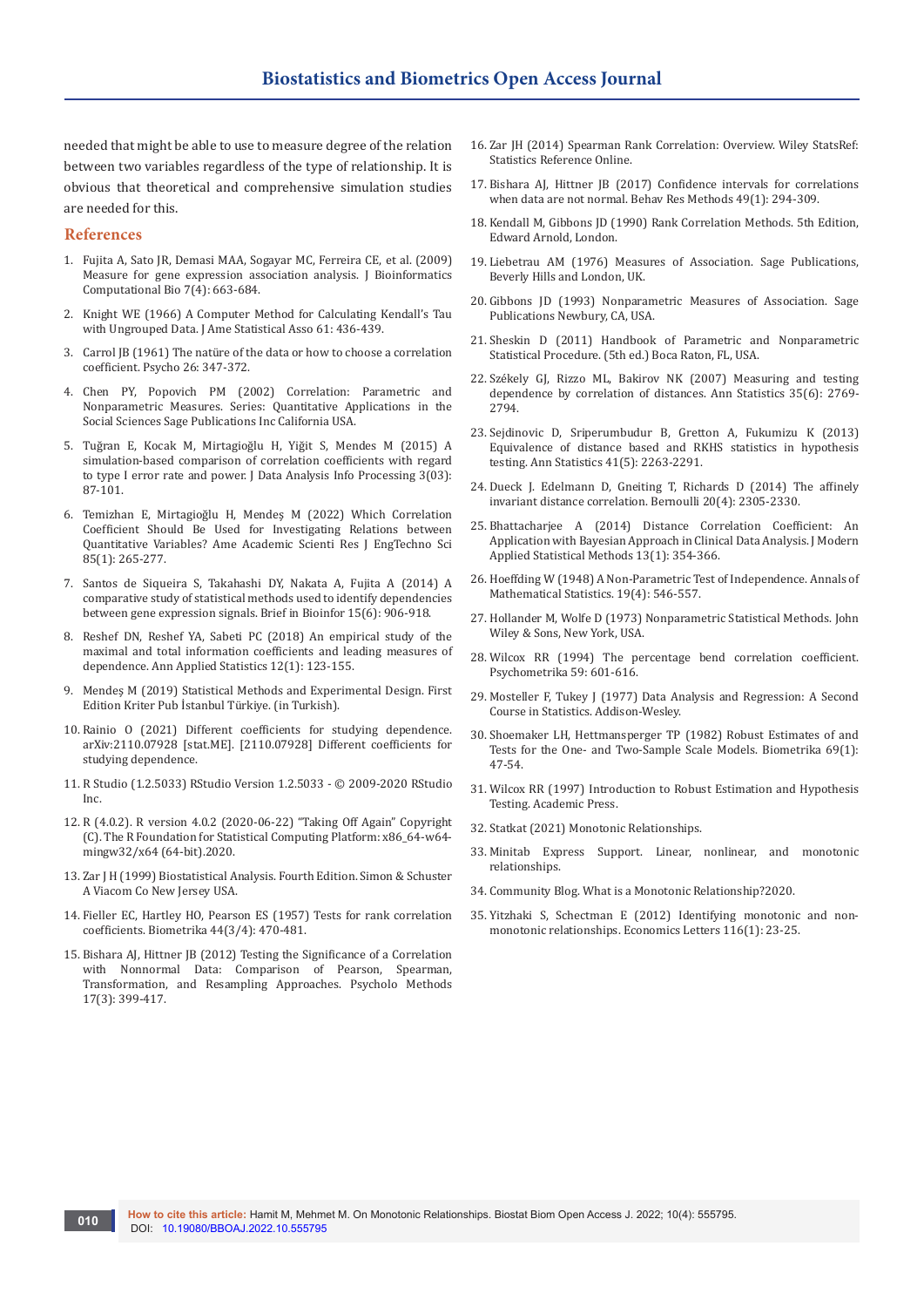needed that might be able to use to measure degree of the relation between two variables regardless of the type of relationship. It is obvious that theoretical and comprehensive simulation studies are needed for this.

#### **References**

- 1. Fujita A, Sato JR, Demasi MAA, Sogayar MC, Ferreira CE, et al. (2009) Measure for gene expression association analysis. J Bioinformatics Computational Bio 7(4): 663-684.
- 2. [Knight WE \(1966\) A Computer Method for Calculating Kendall's Tau](https://www.tandfonline.com/doi/abs/10.1080/01621459.1966.10480879)  [with Ungrouped Data. J Ame Statistical Asso 61: 436-439.](https://www.tandfonline.com/doi/abs/10.1080/01621459.1966.10480879)
- 3. Carrol JB (1961) The natü[re of the data or how to choose a correlation](https://link.springer.com/article/10.1007/BF02289768)  [coefficient. Psycho 26: 347-372.](https://link.springer.com/article/10.1007/BF02289768)
- 4. Chen PY, Popovich PM (2002) Correlation: Parametric and Nonparametric Measures. Series: Quantitative Applications in the Social Sciences Sage Publications Inc California USA.
- 5. Tuğran E, Kocak M, Mirtagioğlu H, Yiğit S, Mendes M (2015) A simulation-based comparison of correlation coefficients with regard to type I error rate and power. J Data Analysis Info Processing 3(03): 87-101.
- 6. Temizhan E, Mirtagioğlu H, Mendeş M (2022) Which Correlation Coefficient Should Be Used for Investigating Relations between Quantitative Variables? Ame Academic Scienti Res J EngTechno Sci 85(1): 265-277.
- 7. [Santos de Siqueira S, Takahashi DY, Nakata A, Fujita A \(2014\) A](https://pubmed.ncbi.nlm.nih.gov/23962479)  [comparative study of statistical methods used to identify dependencies](https://pubmed.ncbi.nlm.nih.gov/23962479)  [between gene expression signals. Brief in Bioinfor 15\(6\): 906-918.](https://pubmed.ncbi.nlm.nih.gov/23962479)
- 8. Reshef DN, Reshef YA, Sabeti PC (2018) An empirical study of the maximal and total information coefficients and leading measures of dependence. Ann Applied Statistics 12(1): 123-155.
- 9. Mendeş M (2019) Statistical Methods and Experimental Design. First Edition Kriter Pub İstanbul Türkiye. (in Turkish).
- 10. Rainio O (2021) Different coefficients for studying dependence. arXiv:2110.07928 [stat.ME]. [2110.07928] Different coefficients for studying dependence.
- 11. R Studio (1.2.5033) RStudio Version 1.2.5033 © 2009-2020 RStudio Inc.
- 12. R (4.0.2). R version 4.0.2 (2020-06-22) "Taking Off Again" Copyright (C). The R Foundation for Statistical Computing Platform: x86\_64-w64 mingw32/x64 (64-bit).2020.
- 13. Zar J H (1999) Biostatistical Analysis. Fourth Edition. Simon & Schuster A Viacom Co New Jersey USA.
- 14. Fieller EC, Hartley HO, Pearson ES (1957) Tests for rank correlation coefficients. Biometrika 44(3/4): 470-481.
- 15. [Bishara AJ, Hittner JB \(2012\) Testing the Significance of a Correlation](https://pubmed.ncbi.nlm.nih.gov/22563845/)  [with Nonnormal Data: Comparison of Pearson, Spearman,](https://pubmed.ncbi.nlm.nih.gov/22563845/)  [Transformation, and Resampling Approaches. Psycholo Methods](https://pubmed.ncbi.nlm.nih.gov/22563845/)  [17\(3\): 399-417.](https://pubmed.ncbi.nlm.nih.gov/22563845/)
- 16. [Zar JH \(2014\) Spearman Rank Correlation: Overview. Wiley StatsRef:](https://onlinelibrary.wiley.com/doi/abs/10.1002/9781118445112.stat05964)  [Statistics Reference Online.](https://onlinelibrary.wiley.com/doi/abs/10.1002/9781118445112.stat05964)
- 17. [Bishara AJ, Hittner JB \(2017\) Confidence intervals for correlations](https://pubmed.ncbi.nlm.nih.gov/26822671/)  [when data are not normal. Behav Res Methods 49\(1\): 294-309.](https://pubmed.ncbi.nlm.nih.gov/26822671/)
- 18. Kendall M, Gibbons JD (1990) Rank Correlation Methods. 5th Edition, Edward Arnold, London.
- 19. Liebetrau AM (1976) Measures of Association. Sage Publications, Beverly Hills and London, UK.
- 20. Gibbons JD (1993) Nonparametric Measures of Association. Sage Publications Newbury, CA, USA.
- 21. Sheskin D (2011) Handbook of Parametric and Nonparametric Statistical Procedure. (5th ed.) Boca Raton, FL, USA.
- 22. Székely GJ, Rizzo ML, Bakirov NK (2007) Measuring and testing dependence by correlation of distances. Ann Statistics 35(6): 2769- 2794.
- 23. Sejdinovic D, Sriperumbudur B, Gretton A, Fukumizu K (2013) Equivalence of distance based and RKHS statistics in hypothesis testing. Ann Statistics 41(5): 2263-2291.
- 24. Dueck J. Edelmann D, Gneiting T, Richards D (2014) The affinely invariant distance correlation. Bernoulli 20(4): 2305-2330.
- 25. Bhattacharjee A (2014) Distance Correlation Coefficient: An Application with Bayesian Approach in Clinical Data Analysis. J Modern Applied Statistical Methods 13(1): 354-366.
- 26. Hoeffding W (1948) A Non-Parametric Test of Independence. Annals of Mathematical Statistics. 19(4): 546-557.
- 27. Hollander M, Wolfe D (1973) Nonparametric Statistical Methods. John Wiley & Sons, New York, USA.
- 28. [Wilcox RR \(1994\) The percentage bend correlation coefficient.](https://link.springer.com/article/10.1007/BF02294395)  [Psychometrika 59: 601-616.](https://link.springer.com/article/10.1007/BF02294395)
- 29. Mosteller F, Tukey J (1977) Data Analysis and Regression: A Second Course in Statistics. Addison-Wesley.
- 30. Shoemaker LH, Hettmansperger TP (1982) Robust Estimates of and Tests for the One- and Two-Sample Scale Models. Biometrika 69(1): 47-54.
- 31. Wilcox RR (1997) Introduction to Robust Estimation and Hypothesis Testing. Academic Press.
- 32. Statkat (2021) Monotonic Relationships.
- 33. Minitab Express Support. Linear, nonlinear, and monotonic relationships.
- 34. Community Blog. What is a Monotonic Relationship?2020.
- 35. [Yitzhaki S, Schectman E \(2012\) Identifying monotonic and non](https://www.sciencedirect.com/science/article/abs/pii/S016517651100646X)[monotonic relationships. Economics Letters 116\(1\): 23-25.](https://www.sciencedirect.com/science/article/abs/pii/S016517651100646X)